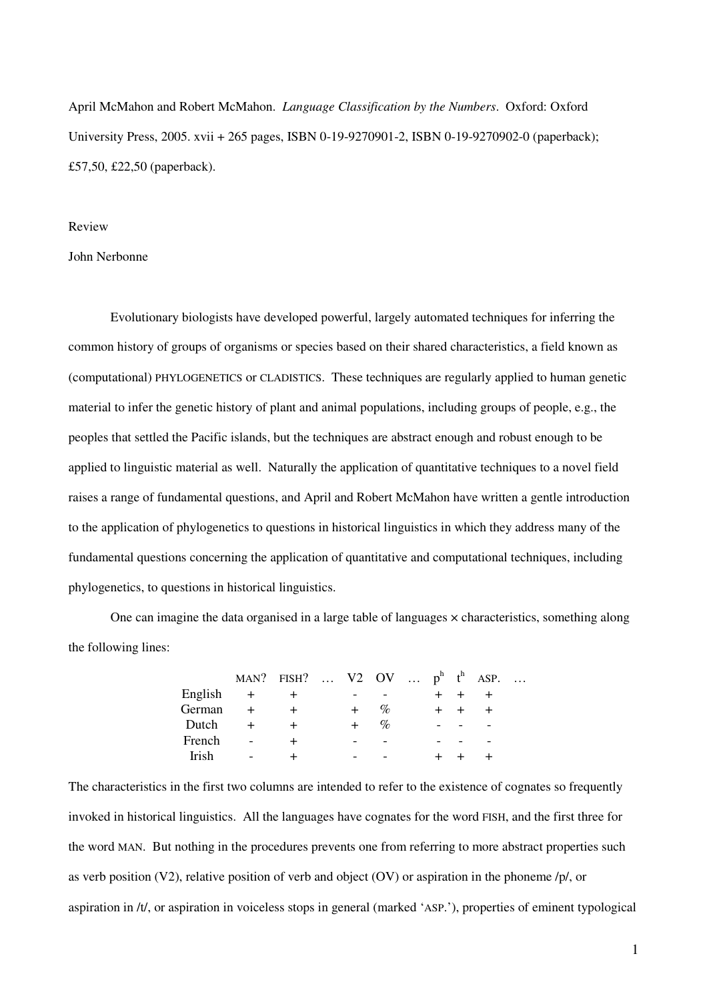April McMahon and Robert McMahon. *Language Classification by the Numbers*. Oxford: Oxford University Press, 2005. xvii + 265 pages, ISBN 0-19-9270901-2, ISBN 0-19-9270902-0 (paperback); £57,50, £22,50 (paperback).

#### Review

#### John Nerbonne

Evolutionary biologists have developed powerful, largely automated techniques for inferring the common history of groups of organisms or species based on their shared characteristics, a field known as (computational) PHYLOGENETICS or CLADISTICS. These techniques are regularly applied to human genetic material to infer the genetic history of plant and animal populations, including groups of people, e.g., the peoples that settled the Pacific islands, but the techniques are abstract enough and robust enough to be applied to linguistic material as well. Naturally the application of quantitative techniques to a novel field raises a range of fundamental questions, and April and Robert McMahon have written a gentle introduction to the application of phylogenetics to questions in historical linguistics in which they address many of the fundamental questions concerning the application of quantitative and computational techniques, including phylogenetics, to questions in historical linguistics.

One can imagine the data organised in a large table of languages × characteristics, something along the following lines:

|              |                          | MAN? FISH? $V2$ OV $p^h$ $t^h$ ASP. |  |      |  |  | $\dddotsc$ |
|--------------|--------------------------|-------------------------------------|--|------|--|--|------------|
| English      |                          |                                     |  |      |  |  |            |
| German       |                          |                                     |  | %    |  |  |            |
| Dutch        |                          |                                     |  | $\%$ |  |  |            |
| French       |                          |                                     |  |      |  |  |            |
| <b>Irish</b> | $\overline{\phantom{a}}$ |                                     |  |      |  |  |            |

The characteristics in the first two columns are intended to refer to the existence of cognates so frequently invoked in historical linguistics. All the languages have cognates for the word FISH, and the first three for the word MAN. But nothing in the procedures prevents one from referring to more abstract properties such as verb position (V2), relative position of verb and object (OV) or aspiration in the phoneme /p/, or aspiration in /t/, or aspiration in voiceless stops in general (marked 'ASP.'), properties of eminent typological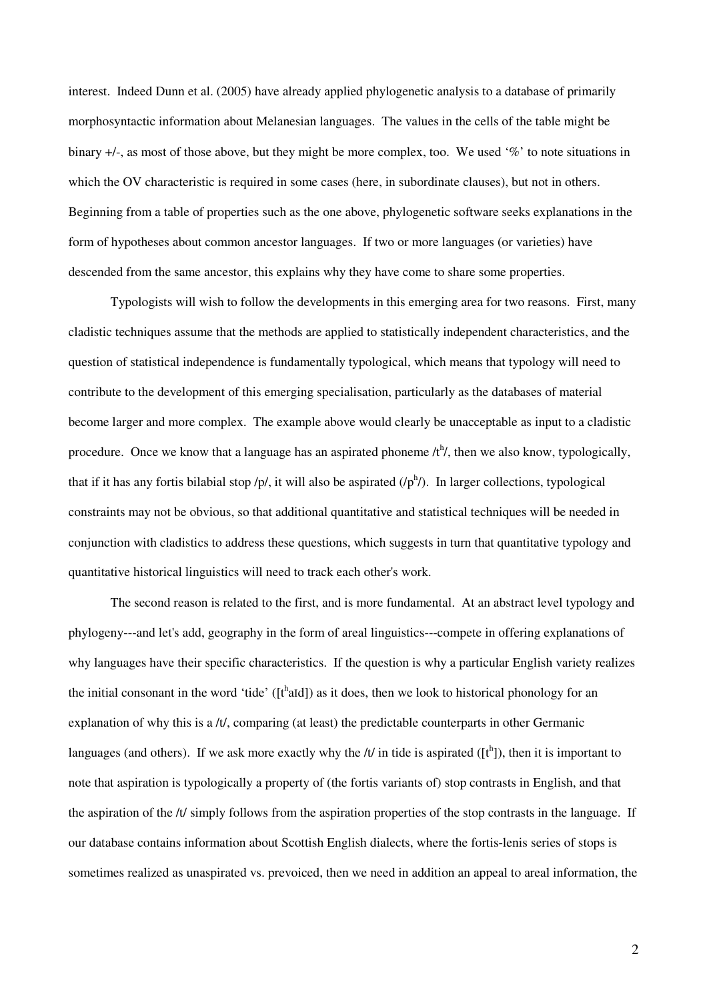interest. Indeed Dunn et al. (2005) have already applied phylogenetic analysis to a database of primarily morphosyntactic information about Melanesian languages. The values in the cells of the table might be binary +/-, as most of those above, but they might be more complex, too. We used '%' to note situations in which the OV characteristic is required in some cases (here, in subordinate clauses), but not in others. Beginning from a table of properties such as the one above, phylogenetic software seeks explanations in the form of hypotheses about common ancestor languages. If two or more languages (or varieties) have descended from the same ancestor, this explains why they have come to share some properties.

Typologists will wish to follow the developments in this emerging area for two reasons. First, many cladistic techniques assume that the methods are applied to statistically independent characteristics, and the question of statistical independence is fundamentally typological, which means that typology will need to contribute to the development of this emerging specialisation, particularly as the databases of material become larger and more complex. The example above would clearly be unacceptable as input to a cladistic procedure. Once we know that a language has an aspirated phoneme  $/t<sup>h</sup>/$ , then we also know, typologically, that if it has any fortis bilabial stop /p/, it will also be aspirated  $(1p^h)$ . In larger collections, typological constraints may not be obvious, so that additional quantitative and statistical techniques will be needed in conjunction with cladistics to address these questions, which suggests in turn that quantitative typology and quantitative historical linguistics will need to track each other's work.

The second reason is related to the first, and is more fundamental. At an abstract level typology and phylogeny---and let's add, geography in the form of areal linguistics---compete in offering explanations of why languages have their specific characteristics. If the question is why a particular English variety realizes the initial consonant in the word 'tide'  $([t<sup>h</sup>aid])$  as it does, then we look to historical phonology for an explanation of why this is a  $/t/$ , comparing (at least) the predictable counterparts in other Germanic languages (and others). If we ask more exactly why the  $/t/$  in tide is aspirated ( $[t^h]$ ), then it is important to note that aspiration is typologically a property of (the fortis variants of) stop contrasts in English, and that the aspiration of the /t/ simply follows from the aspiration properties of the stop contrasts in the language. If our database contains information about Scottish English dialects, where the fortis-lenis series of stops is sometimes realized as unaspirated vs. prevoiced, then we need in addition an appeal to areal information, the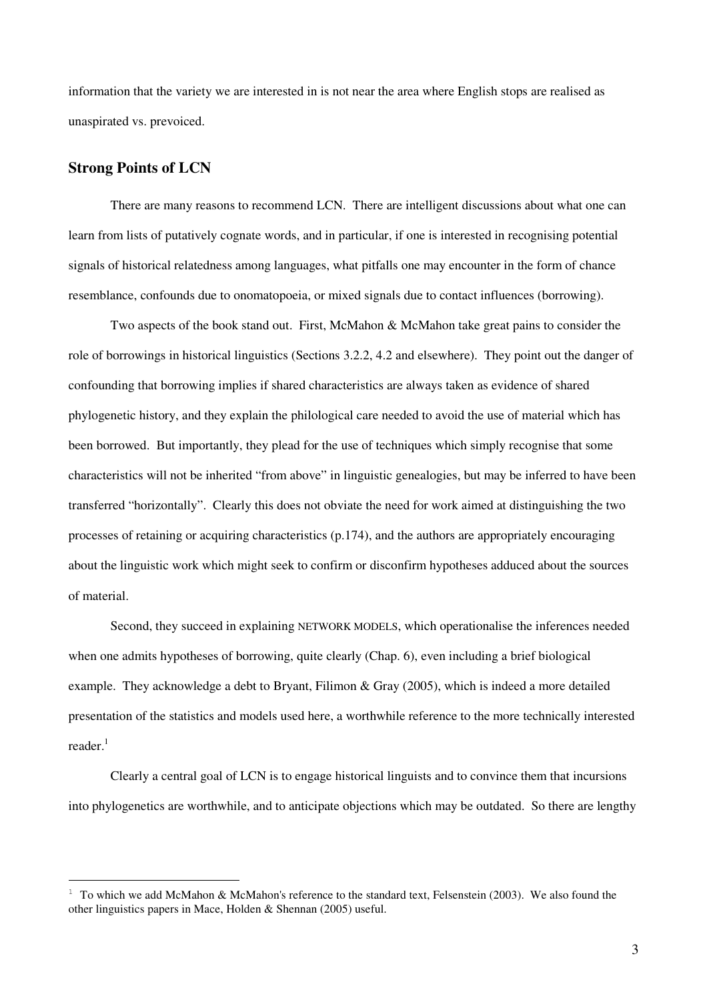information that the variety we are interested in is not near the area where English stops are realised as unaspirated vs. prevoiced.

## **Strong Points of LCN**

There are many reasons to recommend LCN. There are intelligent discussions about what one can learn from lists of putatively cognate words, and in particular, if one is interested in recognising potential signals of historical relatedness among languages, what pitfalls one may encounter in the form of chance resemblance, confounds due to onomatopoeia, or mixed signals due to contact influences (borrowing).

Two aspects of the book stand out. First, McMahon & McMahon take great pains to consider the role of borrowings in historical linguistics (Sections 3.2.2, 4.2 and elsewhere). They point out the danger of confounding that borrowing implies if shared characteristics are always taken as evidence of shared phylogenetic history, and they explain the philological care needed to avoid the use of material which has been borrowed. But importantly, they plead for the use of techniques which simply recognise that some characteristics will not be inherited "from above" in linguistic genealogies, but may be inferred to have been transferred "horizontally". Clearly this does not obviate the need for work aimed at distinguishing the two processes of retaining or acquiring characteristics (p.174), and the authors are appropriately encouraging about the linguistic work which might seek to confirm or disconfirm hypotheses adduced about the sources of material.

Second, they succeed in explaining NETWORK MODELS, which operationalise the inferences needed when one admits hypotheses of borrowing, quite clearly (Chap. 6), even including a brief biological example. They acknowledge a debt to Bryant, Filimon & Gray (2005), which is indeed a more detailed presentation of the statistics and models used here, a worthwhile reference to the more technically interested reader.<sup>1</sup>

Clearly a central goal of LCN is to engage historical linguists and to convince them that incursions into phylogenetics are worthwhile, and to anticipate objections which may be outdated. So there are lengthy

<sup>&</sup>lt;sup>1</sup> To which we add McMahon & McMahon's reference to the standard text. Felsenstein (2003). We also found the other linguistics papers in Mace, Holden & Shennan (2005) useful.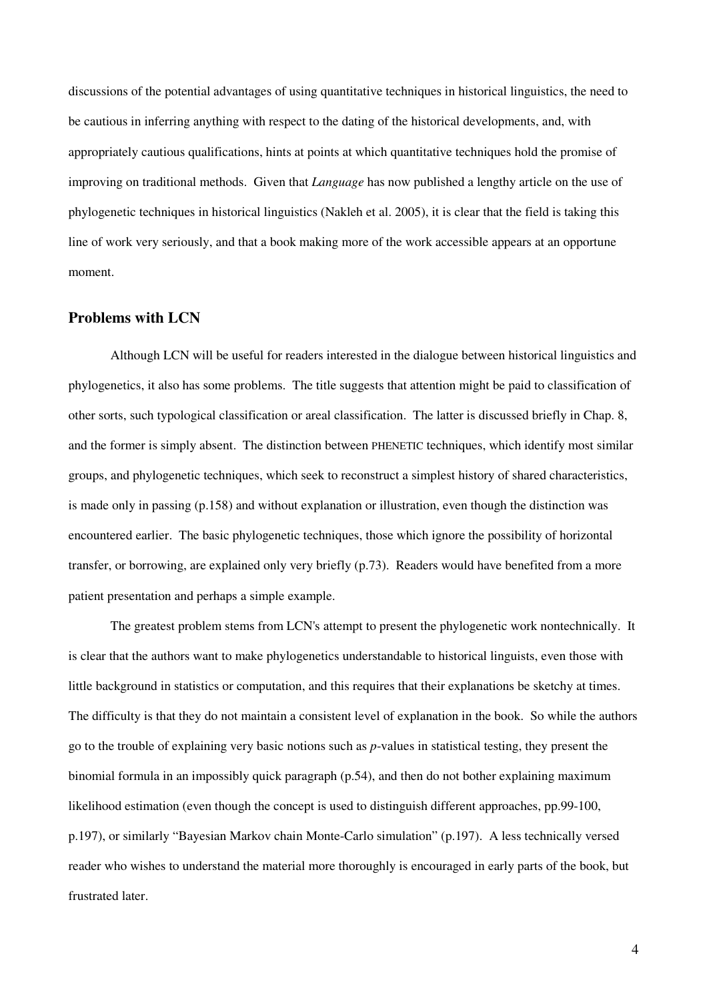discussions of the potential advantages of using quantitative techniques in historical linguistics, the need to be cautious in inferring anything with respect to the dating of the historical developments, and, with appropriately cautious qualifications, hints at points at which quantitative techniques hold the promise of improving on traditional methods. Given that *Language* has now published a lengthy article on the use of phylogenetic techniques in historical linguistics (Nakleh et al. 2005), it is clear that the field is taking this line of work very seriously, and that a book making more of the work accessible appears at an opportune moment.

## **Problems with LCN**

Although LCN will be useful for readers interested in the dialogue between historical linguistics and phylogenetics, it also has some problems. The title suggests that attention might be paid to classification of other sorts, such typological classification or areal classification. The latter is discussed briefly in Chap. 8, and the former is simply absent. The distinction between PHENETIC techniques, which identify most similar groups, and phylogenetic techniques, which seek to reconstruct a simplest history of shared characteristics, is made only in passing (p.158) and without explanation or illustration, even though the distinction was encountered earlier. The basic phylogenetic techniques, those which ignore the possibility of horizontal transfer, or borrowing, are explained only very briefly (p.73). Readers would have benefited from a more patient presentation and perhaps a simple example.

The greatest problem stems from LCN's attempt to present the phylogenetic work nontechnically. It is clear that the authors want to make phylogenetics understandable to historical linguists, even those with little background in statistics or computation, and this requires that their explanations be sketchy at times. The difficulty is that they do not maintain a consistent level of explanation in the book. So while the authors go to the trouble of explaining very basic notions such as *p*-values in statistical testing, they present the binomial formula in an impossibly quick paragraph (p.54), and then do not bother explaining maximum likelihood estimation (even though the concept is used to distinguish different approaches, pp.99-100, p.197), or similarly "Bayesian Markov chain Monte-Carlo simulation" (p.197). A less technically versed reader who wishes to understand the material more thoroughly is encouraged in early parts of the book, but frustrated later.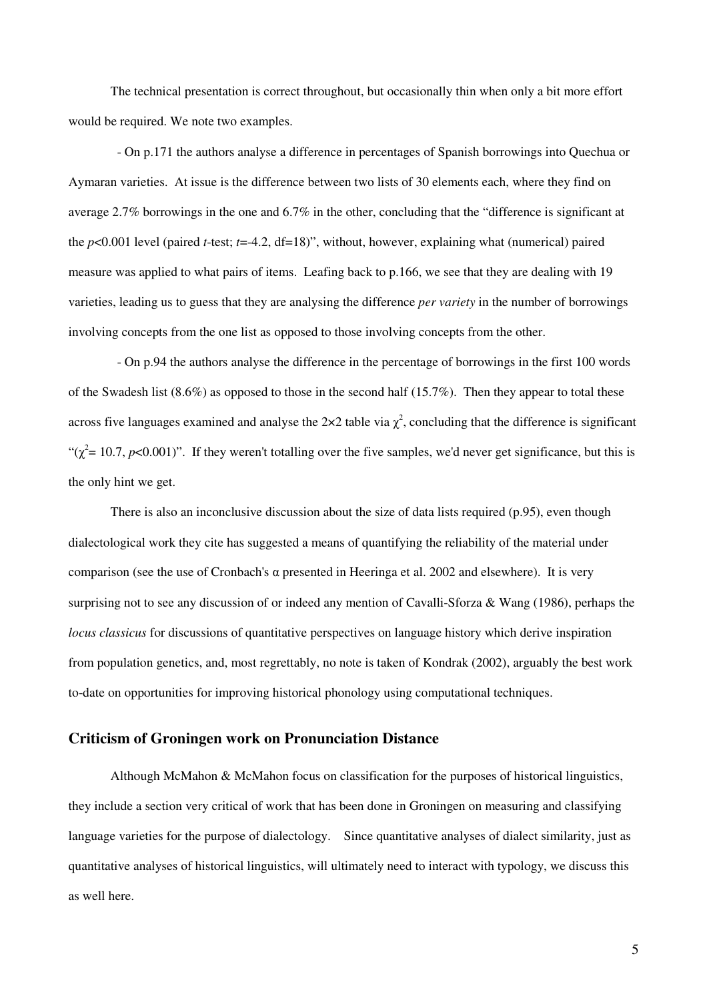The technical presentation is correct throughout, but occasionally thin when only a bit more effort would be required. We note two examples.

- On p.171 the authors analyse a difference in percentages of Spanish borrowings into Quechua or Aymaran varieties. At issue is the difference between two lists of 30 elements each, where they find on average 2.7% borrowings in the one and 6.7% in the other, concluding that the "difference is significant at the  $p<0.001$  level (paired *t*-test;  $t=4.2$ , df=18)", without, however, explaining what (numerical) paired measure was applied to what pairs of items. Leafing back to p.166, we see that they are dealing with 19 varieties, leading us to guess that they are analysing the difference *per variety* in the number of borrowings involving concepts from the one list as opposed to those involving concepts from the other.

- On p.94 the authors analyse the difference in the percentage of borrowings in the first 100 words of the Swadesh list  $(8.6\%)$  as opposed to those in the second half  $(15.7\%)$ . Then they appear to total these across five languages examined and analyse the 2×2 table via  $\chi^2$ , concluding that the difference is significant " $(\chi^2 = 10.7, p<0.001)$ ". If they weren't totalling over the five samples, we'd never get significance, but this is the only hint we get.

There is also an inconclusive discussion about the size of data lists required (p.95), even though dialectological work they cite has suggested a means of quantifying the reliability of the material under comparison (see the use of Cronbach's  $\alpha$  presented in Heeringa et al. 2002 and elsewhere). It is very surprising not to see any discussion of or indeed any mention of Cavalli-Sforza & Wang (1986), perhaps the *locus classicus* for discussions of quantitative perspectives on language history which derive inspiration from population genetics, and, most regrettably, no note is taken of Kondrak (2002), arguably the best work to-date on opportunities for improving historical phonology using computational techniques.

#### **Criticism of Groningen work on Pronunciation Distance**

Although McMahon & McMahon focus on classification for the purposes of historical linguistics, they include a section very critical of work that has been done in Groningen on measuring and classifying language varieties for the purpose of dialectology. Since quantitative analyses of dialect similarity, just as quantitative analyses of historical linguistics, will ultimately need to interact with typology, we discuss this as well here.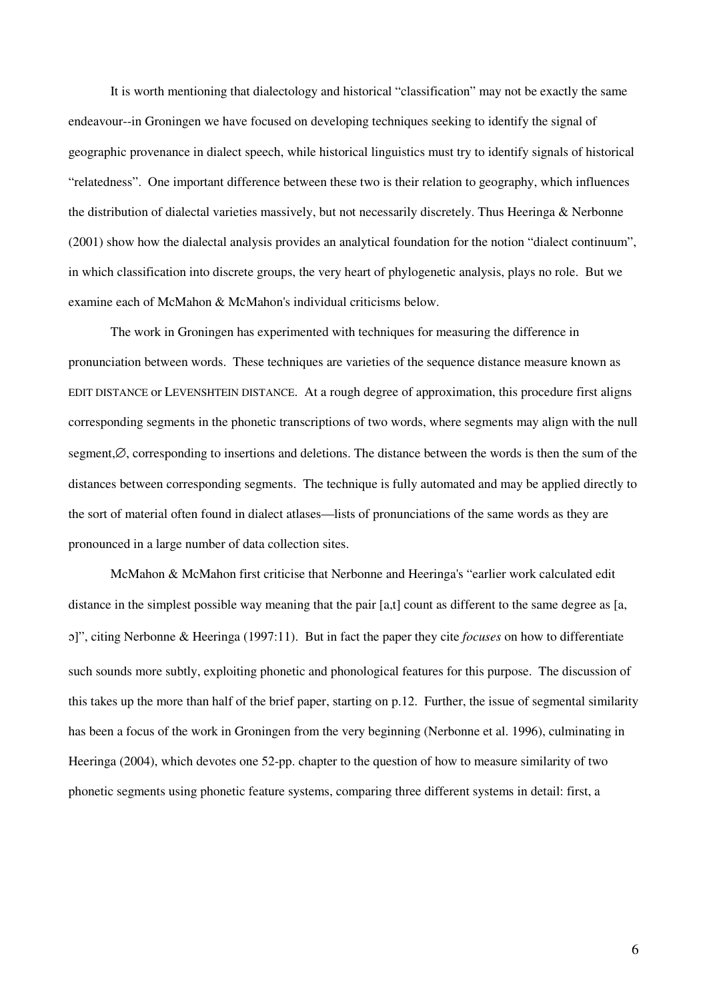It is worth mentioning that dialectology and historical "classification" may not be exactly the same endeavour--in Groningen we have focused on developing techniques seeking to identify the signal of geographic provenance in dialect speech, while historical linguistics must try to identify signals of historical "relatedness". One important difference between these two is their relation to geography, which influences the distribution of dialectal varieties massively, but not necessarily discretely. Thus Heeringa & Nerbonne (2001) show how the dialectal analysis provides an analytical foundation for the notion "dialect continuum", in which classification into discrete groups, the very heart of phylogenetic analysis, plays no role. But we examine each of McMahon & McMahon's individual criticisms below.

The work in Groningen has experimented with techniques for measuring the difference in pronunciation between words. These techniques are varieties of the sequence distance measure known as EDIT DISTANCE or LEVENSHTEIN DISTANCE. At a rough degree of approximation, this procedure first aligns corresponding segments in the phonetic transcriptions of two words, where segments may align with the null segment,⊘, corresponding to insertions and deletions. The distance between the words is then the sum of the distances between corresponding segments. The technique is fully automated and may be applied directly to the sort of material often found in dialect atlases—lists of pronunciations of the same words as they are pronounced in a large number of data collection sites.

McMahon & McMahon first criticise that Nerbonne and Heeringa's "earlier work calculated edit distance in the simplest possible way meaning that the pair [a,t] count as different to the same degree as [a, ]", citing Nerbonne & Heeringa (1997:11). But in fact the paper they cite *focuses* on how to differentiate such sounds more subtly, exploiting phonetic and phonological features for this purpose. The discussion of this takes up the more than half of the brief paper, starting on p.12. Further, the issue of segmental similarity has been a focus of the work in Groningen from the very beginning (Nerbonne et al. 1996), culminating in Heeringa (2004), which devotes one 52-pp. chapter to the question of how to measure similarity of two phonetic segments using phonetic feature systems, comparing three different systems in detail: first, a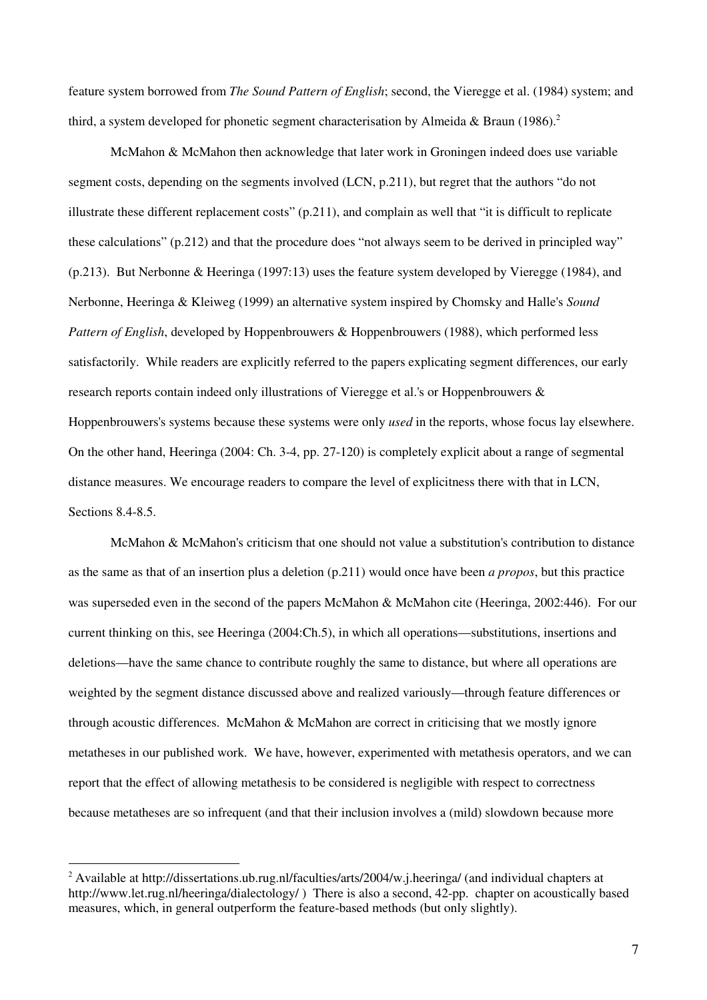feature system borrowed from *The Sound Pattern of English*; second, the Vieregge et al. (1984) system; and third, a system developed for phonetic segment characterisation by Almeida & Braun (1986).<sup>2</sup>

McMahon & McMahon then acknowledge that later work in Groningen indeed does use variable segment costs, depending on the segments involved (LCN, p.211), but regret that the authors "do not illustrate these different replacement costs" (p.211), and complain as well that "it is difficult to replicate these calculations" (p.212) and that the procedure does "not always seem to be derived in principled way" (p.213). But Nerbonne & Heeringa (1997:13) uses the feature system developed by Vieregge (1984), and Nerbonne, Heeringa & Kleiweg (1999) an alternative system inspired by Chomsky and Halle's *Sound Pattern of English*, developed by Hoppenbrouwers & Hoppenbrouwers (1988), which performed less satisfactorily. While readers are explicitly referred to the papers explicating segment differences, our early research reports contain indeed only illustrations of Vieregge et al.'s or Hoppenbrouwers & Hoppenbrouwers's systems because these systems were only *used* in the reports, whose focus lay elsewhere. On the other hand, Heeringa (2004: Ch. 3-4, pp. 27-120) is completely explicit about a range of segmental distance measures. We encourage readers to compare the level of explicitness there with that in LCN, Sections 8.4-8.5.

McMahon & McMahon's criticism that one should not value a substitution's contribution to distance as the same as that of an insertion plus a deletion (p.211) would once have been *a propos*, but this practice was superseded even in the second of the papers McMahon & McMahon cite (Heeringa, 2002:446). For our current thinking on this, see Heeringa (2004:Ch.5), in which all operations—substitutions, insertions and deletions—have the same chance to contribute roughly the same to distance, but where all operations are weighted by the segment distance discussed above and realized variously—through feature differences or through acoustic differences. McMahon & McMahon are correct in criticising that we mostly ignore metatheses in our published work. We have, however, experimented with metathesis operators, and we can report that the effect of allowing metathesis to be considered is negligible with respect to correctness because metatheses are so infrequent (and that their inclusion involves a (mild) slowdown because more

<sup>&</sup>lt;sup>2</sup> Available at http://dissertations.ub.rug.nl/faculties/arts/2004/w.j.heeringa/ (and individual chapters at http://www.let.rug.nl/heeringa/dialectology/ ) There is also a second, 42-pp. chapter on acoustically based measures, which, in general outperform the feature-based methods (but only slightly).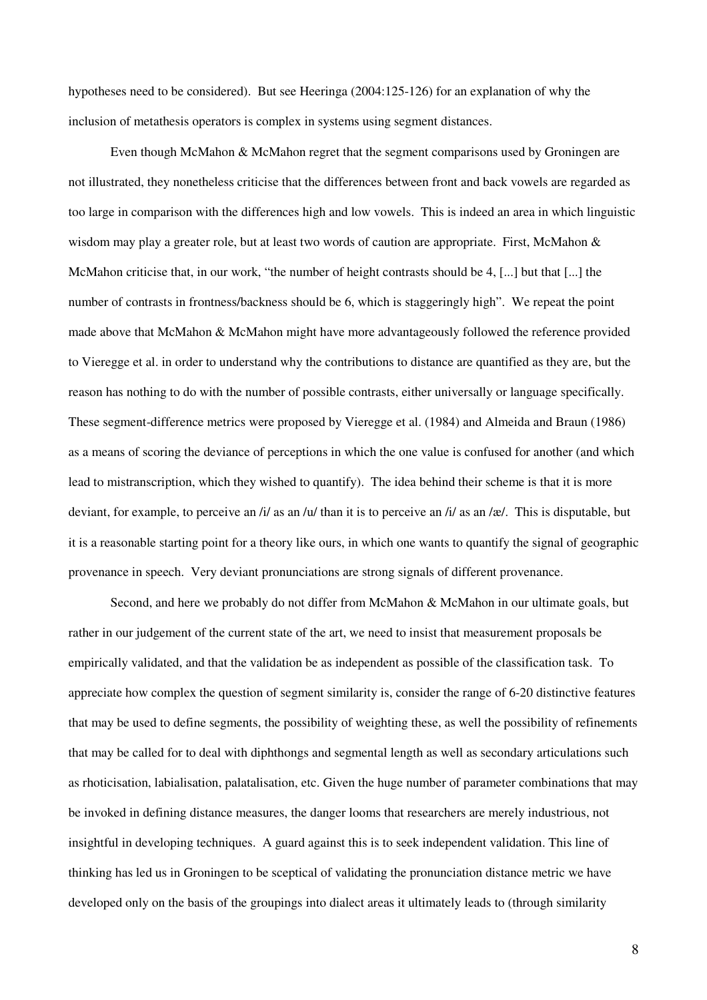hypotheses need to be considered). But see Heeringa (2004:125-126) for an explanation of why the inclusion of metathesis operators is complex in systems using segment distances.

Even though McMahon & McMahon regret that the segment comparisons used by Groningen are not illustrated, they nonetheless criticise that the differences between front and back vowels are regarded as too large in comparison with the differences high and low vowels. This is indeed an area in which linguistic wisdom may play a greater role, but at least two words of caution are appropriate. First, McMahon & McMahon criticise that, in our work, "the number of height contrasts should be 4, [...] but that [...] the number of contrasts in frontness/backness should be 6, which is staggeringly high". We repeat the point made above that McMahon & McMahon might have more advantageously followed the reference provided to Vieregge et al. in order to understand why the contributions to distance are quantified as they are, but the reason has nothing to do with the number of possible contrasts, either universally or language specifically. These segment-difference metrics were proposed by Vieregge et al. (1984) and Almeida and Braun (1986) as a means of scoring the deviance of perceptions in which the one value is confused for another (and which lead to mistranscription, which they wished to quantify). The idea behind their scheme is that it is more deviant, for example, to perceive an /i/ as an /u/ than it is to perceive an /i/ as an /æ/. This is disputable, but it is a reasonable starting point for a theory like ours, in which one wants to quantify the signal of geographic provenance in speech. Very deviant pronunciations are strong signals of different provenance.

Second, and here we probably do not differ from McMahon & McMahon in our ultimate goals, but rather in our judgement of the current state of the art, we need to insist that measurement proposals be empirically validated, and that the validation be as independent as possible of the classification task. To appreciate how complex the question of segment similarity is, consider the range of 6-20 distinctive features that may be used to define segments, the possibility of weighting these, as well the possibility of refinements that may be called for to deal with diphthongs and segmental length as well as secondary articulations such as rhoticisation, labialisation, palatalisation, etc. Given the huge number of parameter combinations that may be invoked in defining distance measures, the danger looms that researchers are merely industrious, not insightful in developing techniques. A guard against this is to seek independent validation. This line of thinking has led us in Groningen to be sceptical of validating the pronunciation distance metric we have developed only on the basis of the groupings into dialect areas it ultimately leads to (through similarity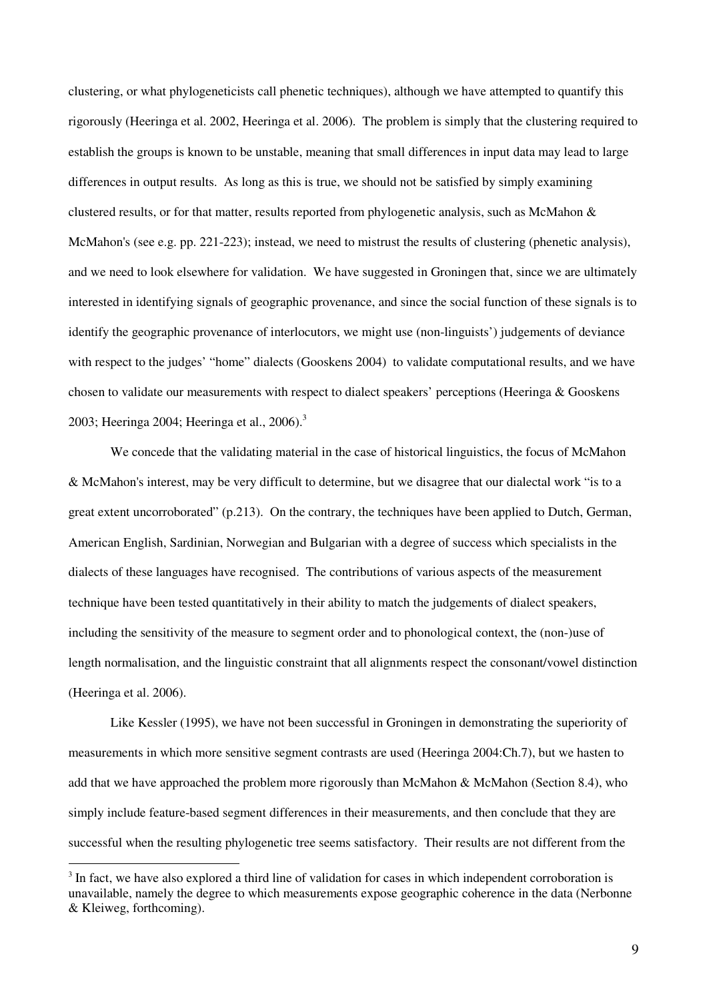clustering, or what phylogeneticists call phenetic techniques), although we have attempted to quantify this rigorously (Heeringa et al. 2002, Heeringa et al. 2006). The problem is simply that the clustering required to establish the groups is known to be unstable, meaning that small differences in input data may lead to large differences in output results. As long as this is true, we should not be satisfied by simply examining clustered results, or for that matter, results reported from phylogenetic analysis, such as McMahon & McMahon's (see e.g. pp. 221-223); instead, we need to mistrust the results of clustering (phenetic analysis), and we need to look elsewhere for validation. We have suggested in Groningen that, since we are ultimately interested in identifying signals of geographic provenance, and since the social function of these signals is to identify the geographic provenance of interlocutors, we might use (non-linguists') judgements of deviance with respect to the judges' "home" dialects (Gooskens 2004) to validate computational results, and we have chosen to validate our measurements with respect to dialect speakers' perceptions (Heeringa & Gooskens 2003; Heeringa 2004; Heeringa et al., 2006).<sup>3</sup>

We concede that the validating material in the case of historical linguistics, the focus of McMahon & McMahon's interest, may be very difficult to determine, but we disagree that our dialectal work "is to a great extent uncorroborated" (p.213). On the contrary, the techniques have been applied to Dutch, German, American English, Sardinian, Norwegian and Bulgarian with a degree of success which specialists in the dialects of these languages have recognised. The contributions of various aspects of the measurement technique have been tested quantitatively in their ability to match the judgements of dialect speakers, including the sensitivity of the measure to segment order and to phonological context, the (non-)use of length normalisation, and the linguistic constraint that all alignments respect the consonant/vowel distinction (Heeringa et al. 2006).

Like Kessler (1995), we have not been successful in Groningen in demonstrating the superiority of measurements in which more sensitive segment contrasts are used (Heeringa 2004:Ch.7), but we hasten to add that we have approached the problem more rigorously than McMahon & McMahon (Section 8.4), who simply include feature-based segment differences in their measurements, and then conclude that they are successful when the resulting phylogenetic tree seems satisfactory. Their results are not different from the

<sup>&</sup>lt;sup>3</sup> In fact, we have also explored a third line of validation for cases in which independent corroboration is unavailable, namely the degree to which measurements expose geographic coherence in the data (Nerbonne & Kleiweg, forthcoming).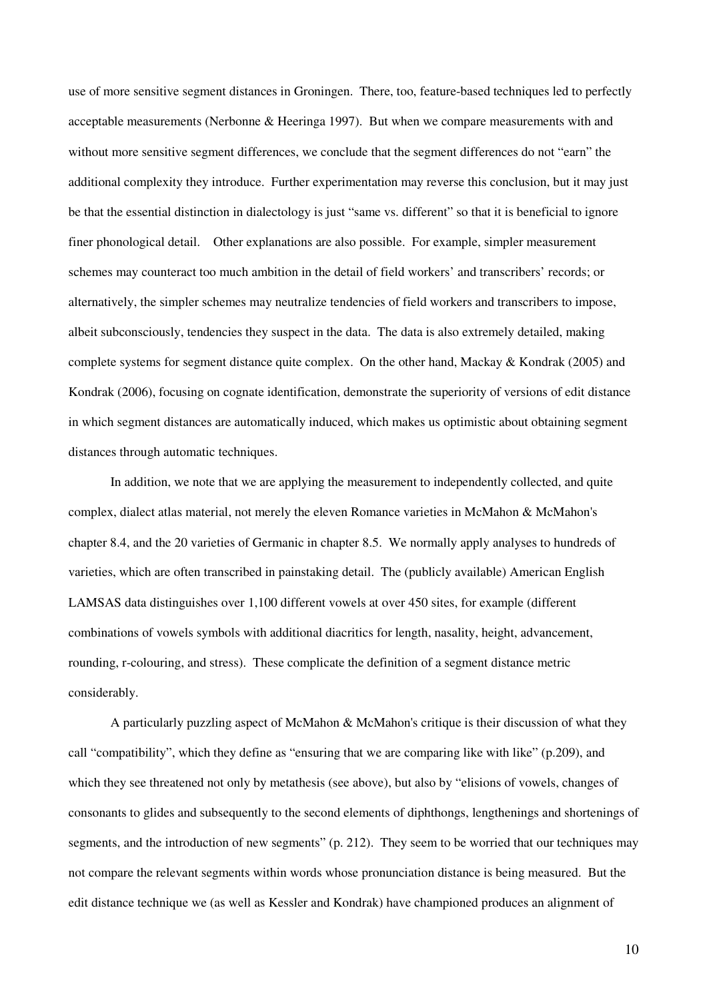use of more sensitive segment distances in Groningen. There, too, feature-based techniques led to perfectly acceptable measurements (Nerbonne & Heeringa 1997). But when we compare measurements with and without more sensitive segment differences, we conclude that the segment differences do not "earn" the additional complexity they introduce. Further experimentation may reverse this conclusion, but it may just be that the essential distinction in dialectology is just "same vs. different" so that it is beneficial to ignore finer phonological detail. Other explanations are also possible. For example, simpler measurement schemes may counteract too much ambition in the detail of field workers' and transcribers' records; or alternatively, the simpler schemes may neutralize tendencies of field workers and transcribers to impose, albeit subconsciously, tendencies they suspect in the data. The data is also extremely detailed, making complete systems for segment distance quite complex. On the other hand, Mackay & Kondrak (2005) and Kondrak (2006), focusing on cognate identification, demonstrate the superiority of versions of edit distance in which segment distances are automatically induced, which makes us optimistic about obtaining segment distances through automatic techniques.

In addition, we note that we are applying the measurement to independently collected, and quite complex, dialect atlas material, not merely the eleven Romance varieties in McMahon & McMahon's chapter 8.4, and the 20 varieties of Germanic in chapter 8.5. We normally apply analyses to hundreds of varieties, which are often transcribed in painstaking detail. The (publicly available) American English LAMSAS data distinguishes over 1,100 different vowels at over 450 sites, for example (different combinations of vowels symbols with additional diacritics for length, nasality, height, advancement, rounding, r-colouring, and stress). These complicate the definition of a segment distance metric considerably.

A particularly puzzling aspect of McMahon & McMahon's critique is their discussion of what they call "compatibility", which they define as "ensuring that we are comparing like with like" (p.209), and which they see threatened not only by metathesis (see above), but also by "elisions of vowels, changes of consonants to glides and subsequently to the second elements of diphthongs, lengthenings and shortenings of segments, and the introduction of new segments" (p. 212). They seem to be worried that our techniques may not compare the relevant segments within words whose pronunciation distance is being measured. But the edit distance technique we (as well as Kessler and Kondrak) have championed produces an alignment of

10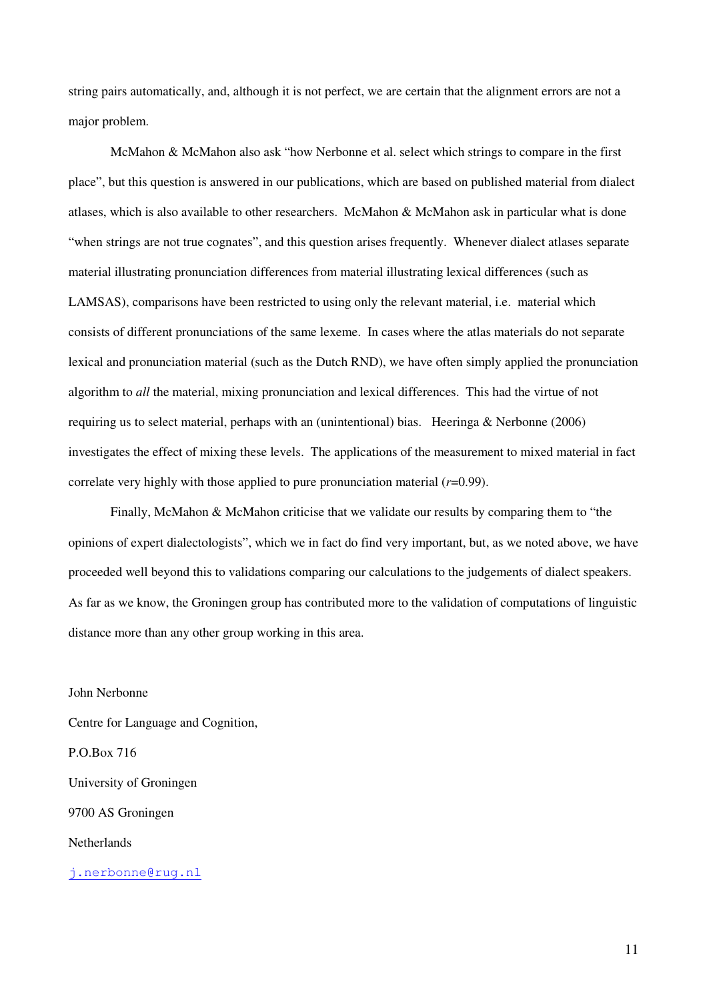string pairs automatically, and, although it is not perfect, we are certain that the alignment errors are not a major problem.

McMahon & McMahon also ask "how Nerbonne et al. select which strings to compare in the first place", but this question is answered in our publications, which are based on published material from dialect atlases, which is also available to other researchers. McMahon & McMahon ask in particular what is done "when strings are not true cognates", and this question arises frequently. Whenever dialect atlases separate material illustrating pronunciation differences from material illustrating lexical differences (such as LAMSAS), comparisons have been restricted to using only the relevant material, i.e. material which consists of different pronunciations of the same lexeme. In cases where the atlas materials do not separate lexical and pronunciation material (such as the Dutch RND), we have often simply applied the pronunciation algorithm to *all* the material, mixing pronunciation and lexical differences. This had the virtue of not requiring us to select material, perhaps with an (unintentional) bias. Heeringa & Nerbonne (2006) investigates the effect of mixing these levels. The applications of the measurement to mixed material in fact correlate very highly with those applied to pure pronunciation material (*r*=0.99).

Finally, McMahon & McMahon criticise that we validate our results by comparing them to "the opinions of expert dialectologists", which we in fact do find very important, but, as we noted above, we have proceeded well beyond this to validations comparing our calculations to the judgements of dialect speakers. As far as we know, the Groningen group has contributed more to the validation of computations of linguistic distance more than any other group working in this area.

John Nerbonne Centre for Language and Cognition, P.O.Box 716 University of Groningen 9700 AS Groningen **Netherlands** 

j.nerbonne@rug.nl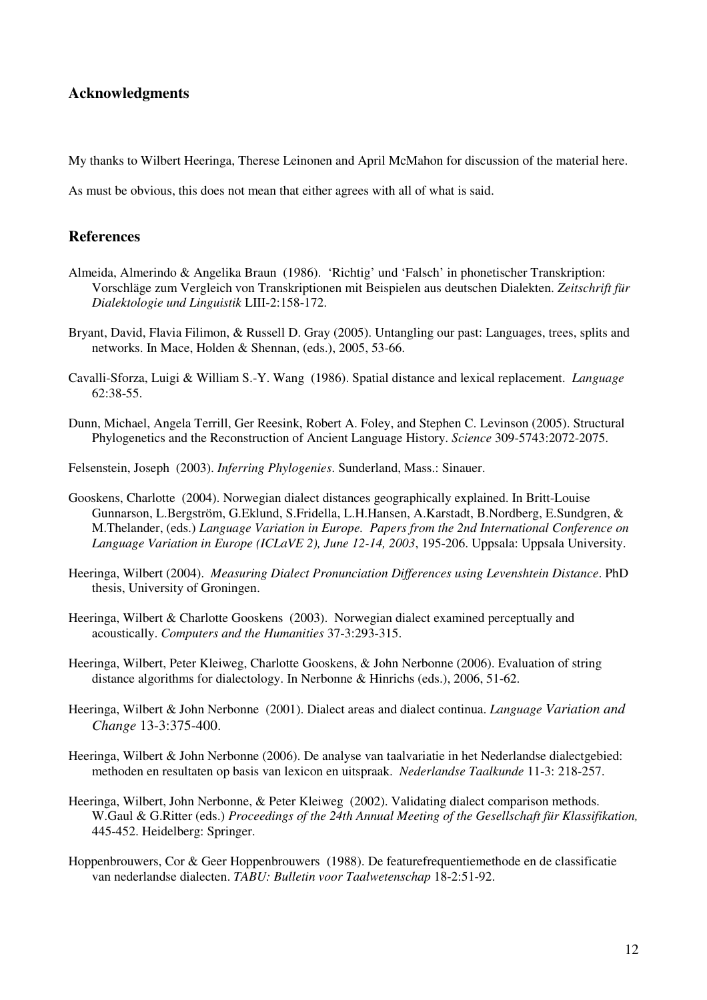# **Acknowledgments**

My thanks to Wilbert Heeringa, Therese Leinonen and April McMahon for discussion of the material here.

As must be obvious, this does not mean that either agrees with all of what is said.

## **References**

- Almeida, Almerindo & Angelika Braun (1986). 'Richtig' und 'Falsch' in phonetischer Transkription: Vorschläge zum Vergleich von Transkriptionen mit Beispielen aus deutschen Dialekten. *Zeitschrift für Dialektologie und Linguistik* LIII-2:158-172.
- Bryant, David, Flavia Filimon, & Russell D. Gray (2005). Untangling our past: Languages, trees, splits and networks. In Mace, Holden & Shennan, (eds.), 2005, 53-66.
- Cavalli-Sforza, Luigi & William S.-Y. Wang (1986). Spatial distance and lexical replacement. *Language* 62:38-55.
- Dunn, Michael, Angela Terrill, Ger Reesink, Robert A. Foley, and Stephen C. Levinson (2005). Structural Phylogenetics and the Reconstruction of Ancient Language History. *Science* 309-5743:2072-2075.
- Felsenstein, Joseph (2003). *Inferring Phylogenies*. Sunderland, Mass.: Sinauer.
- Gooskens, Charlotte (2004). Norwegian dialect distances geographically explained. In Britt-Louise Gunnarson, L.Bergström, G.Eklund, S.Fridella, L.H.Hansen, A.Karstadt, B.Nordberg, E.Sundgren, & M.Thelander, (eds.) *Language Variation in Europe. Papers from the 2nd International Conference on Language Variation in Europe (ICLaVE 2), June 12-14, 2003*, 195-206. Uppsala: Uppsala University.
- Heeringa, Wilbert (2004). *Measuring Dialect Pronunciation Differences using Levenshtein Distance*. PhD thesis, University of Groningen.
- Heeringa, Wilbert & Charlotte Gooskens (2003). Norwegian dialect examined perceptually and acoustically. *Computers and the Humanities* 37-3:293-315.
- Heeringa, Wilbert, Peter Kleiweg, Charlotte Gooskens, & John Nerbonne (2006). Evaluation of string distance algorithms for dialectology. In Nerbonne & Hinrichs (eds.), 2006, 51-62.
- Heeringa, Wilbert & John Nerbonne (2001). Dialect areas and dialect continua. *Language Variation and Change* 13-3:375-400.
- Heeringa, Wilbert & John Nerbonne (2006). De analyse van taalvariatie in het Nederlandse dialectgebied: methoden en resultaten op basis van lexicon en uitspraak. *Nederlandse Taalkunde* 11-3: 218-257.
- Heeringa, Wilbert, John Nerbonne, & Peter Kleiweg (2002). Validating dialect comparison methods. W.Gaul & G.Ritter (eds.) *Proceedings of the 24th Annual Meeting of the Gesellschaft für Klassifikation,* 445-452. Heidelberg: Springer.
- Hoppenbrouwers, Cor & Geer Hoppenbrouwers (1988). De featurefrequentiemethode en de classificatie van nederlandse dialecten. *TABU: Bulletin voor Taalwetenschap* 18-2:51-92.